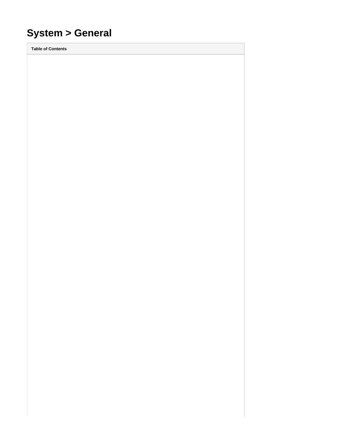# **System > General**

**Table of Contents**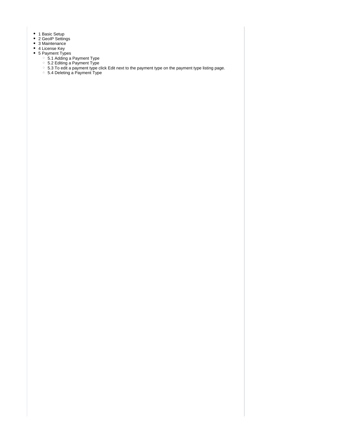- 1 [Basic Setup](#page-3-0)
- 2 [GeoIP Settings](#page-3-1)
- 3 [Maintenance](#page-3-2)
- 4 [License Key](#page-4-0)
	- 5 [Payment Types](#page-4-1)
		- 5.1 [Adding a Payment Type](#page-4-2)
		- 5.2 [Editing a Payment Type](#page-4-3)
		- 5.3 [To edit a payment type click Edit next to the payment type on the payment type listing page.](#page-4-4)
		- 5.4 [Deleting a Payment Type](#page-4-5)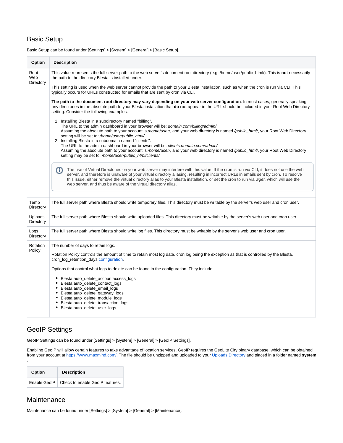## <span id="page-3-0"></span>Basic Setup

**Option Description** Root This value represents the full server path to the web server's document root directory (e.g. /home/user/public\_html/). This is **not** necessarily Web the path to the directory Blesta is installed under. **Directory** This setting is used when the web server cannot provide the path to your Blesta installation, such as when the cron is run via CLI. This typically occurs for URLs constructed for emails that are sent by cron via CLI. **The path to the document root directory may vary depending on your web server configuration**. In most cases, generally speaking, any directories in the absolute path to your Blesta installation that **do not** appear in the URL should be included in your Root Web Directory setting. Consider the following examples: 1. Installing Blesta in a subdirectory named "billing". The URL to the admin dashboard in your browser will be: domain.com/billing/admin/ Assuming the absolute path to your account is /home/user/, and your web directory is named /public\_html/, your Root Web Directory setting will be set to: /home/user/public\_html/ 2. Installing Blesta in a subdomain named "clients". The URL to the admin dashboard in your browser will be: clients.domain.com/admin/ Assuming the absolute path to your account is /home/user/, and your web directory is named /public\_html/, your Root Web Directory setting may be set to: /home/user/public\_html/clients/ The use of Virtual Directories on your web server may interfere with this value. If the cron is run via CLI, it does not use the web (T) server, and therefore is unaware of your virtual directory aliasing, resulting in incorrect URLs in emails sent by cron. To resolve this issue, either remove the virtual directory alias to your Blesta installation, or set the cron to run via wget, which will use the web server, and thus be aware of the virtual directory alias.Temp The full server path where Blesta should write temporary files. This directory must be writable by the server's web user and cron user. **Directory** Uploads The full server path where Blesta should write uploaded files. This directory must be writable by the server's web user and cron user. **Directory** The full server path where Blesta should write log files. This directory must be writable by the server's web user and cron user. Logs **Directory** Rotation The number of days to retain logs. Policy Rotation Policy controls the amount of time to retain most log data, cron log being the exception as that is controlled by the Blesta. cron\_log\_retention\_days [configuration](https://docs.blesta.com/display/user/Configuration+Files). Options that control what logs to delete can be found in the configuration. They include: Blesta.auto\_delete\_accountaccess\_logs Blesta.auto\_delete\_contact\_logs Blesta.auto\_delete\_email\_logs Blesta.auto\_delete\_gateway\_logs Blesta.auto\_delete\_module\_logs • Blesta.auto delete transaction logs Blesta.auto\_delete\_user\_logs

Basic Setup can be found under [Settings] > [System] > [General] > [Basic Setup].

## <span id="page-3-1"></span>GeoIP Settings

GeoIP Settings can be found under [Settings] > [System] > [General] > [GeoIP Settings].

Enabling GeoIP will allow certain features to take advantage of location services. GeoIP requires the GeoLite City binary database, which can be obtained from your account at<https://www.maxmind.com/>. The file should be unzipped and uploaded to your [Uploads Directory](#page-3-0) and placed in a folder named **system**

| Option |  | <b>Description</b>                             |
|--------|--|------------------------------------------------|
|        |  | Enable GeoIP   Check to enable GeoIP features. |

#### <span id="page-3-2"></span>**Maintenance**

.

Maintenance can be found under [Settings] > [System] > [General] > [Maintenance].